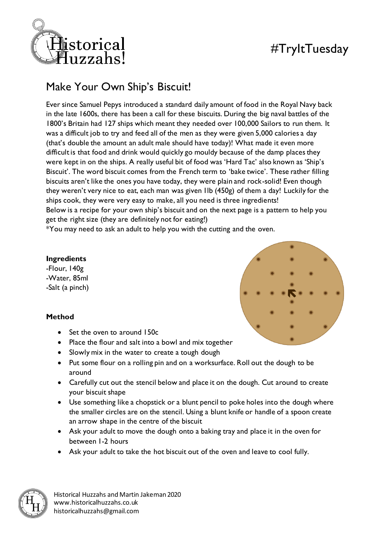

# #TryItTuesday

# Make Your Own Ship's Biscuit!

Ever since Samuel Pepys introduced a standard daily amount of food in the Royal Navy back in the late 1600s, there has been a call for these biscuits. During the big naval battles of the 1800's Britain had 127 ships which meant they needed over 100,000 Sailors to run them. It was a difficult job to try and feed all of the men as they were given 5,000 calories a day (that's double the amount an adult male should have today)! What made it even more difficult is that food and drink would quickly go mouldy because of the damp places they were kept in on the ships. A really useful bit of food was 'Hard Tac' also known as 'Ship's Biscuit'. The word biscuit comes from the French term to 'bake twice'. These rather filling biscuits aren't like the ones you have today, they were plain and rock-solid! Even though they weren't very nice to eat, each man was given 1lb (450g) of them a day! Luckily for the ships cook, they were very easy to make, all you need is three ingredients! Below is a recipe for your own ship's biscuit and on the next page is a pattern to help you get the right size (they are definitely not for eating!)

\*You may need to ask an adult to help you with the cutting and the oven.

#### **Ingredients**

-Flour, 140g -Water, 85ml -Salt (a pinch)

### **Method**

- Set the oven to around 150c
- Place the flour and salt into a bowl and mix together
- Slowly mix in the water to create a tough dough
- Put some flour on a rolling pin and on a worksurface. Roll out the dough to be around
- Carefully cut out the stencil below and place it on the dough. Cut around to create your biscuit shape
- Use something like a chopstick or a blunt pencil to poke holes into the dough where the smaller circles are on the stencil. Using a blunt knife or handle of a spoon create an arrow shape in the centre of the biscuit
- Ask your adult to move the dough onto a baking tray and place it in the oven for between 1-2 hours
- Ask your adult to take the hot biscuit out of the oven and leave to cool fully.



Historical Huzzahs and Martin Jakeman 2020 www.historicalhuzzahs.co.uk historicalhuzzahs@gmail.com